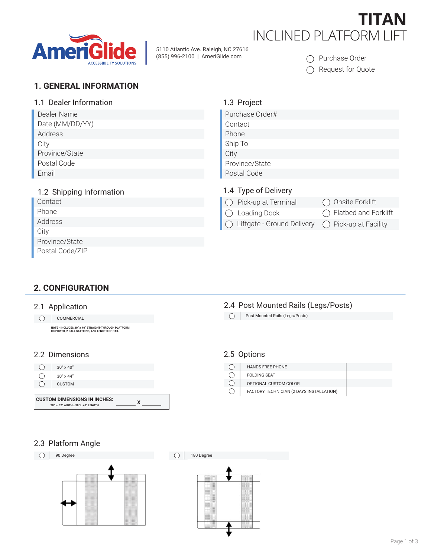

5110 Atlantic Ave. Raleigh, NC 27616 (855) 996-2100 | AmeriGlide.com

# **TITAN** INCLINED PLATFORM LIFT

◯ Purchase Order

◯ Request for Quote

### **1. GENERAL INFORMATION**

| 1.1 Dealer Information   | 1.3 Project                                                  |
|--------------------------|--------------------------------------------------------------|
| Dealer Name              | Purchase Order#                                              |
| Date (MM/DD/YY)          | Contact                                                      |
| Address                  | Phone                                                        |
| City                     | Ship To                                                      |
| Province/State           | City                                                         |
| Postal Code              | Province/State                                               |
| Email                    | Postal Code                                                  |
| 1.2 Shipping Information | 1.4 Type of Delivery                                         |
| Contact                  | Pick-up at Terminal<br>Onsite Forklift                       |
| Phone                    | Flatbed and Forklift<br>Loading Dock                         |
| Address                  | Liftgate - Ground Delivery<br>$\bigcirc$ Pick-up at Facility |
| City                     |                                                              |
| Province/State           |                                                              |
| Postal Code/ZIP          |                                                              |

## **2. CONFIGURATION**

#### 2.1 Application

O COMMERCIAL

**NOTE - INCLUDES 30" x 40" STRAIGHT-THROUGH PLATFORM DC POWER, 2 CALL STATIONS, ANY LENGTH OF RAIL**

#### 2.2 Dimensions 2.5 Options



**28" to 32" WIDTH x 38"to 48" LENGTH**

#### 2.4 Post Mounted Rails (Legs/Posts) Post Mounted Rails (Legs/Posts)

- $\bigcirc$ HANDS-FREE PHONE
- $\bigcirc$ FOLDING SEAT
- $\bigcirc$ OPTIONAL CUSTOM COLOR
- $\bigcirc$ FACTORY TECHNICIAN (2 DAYS INSTALLATION)

### 2.3 Platform Angle

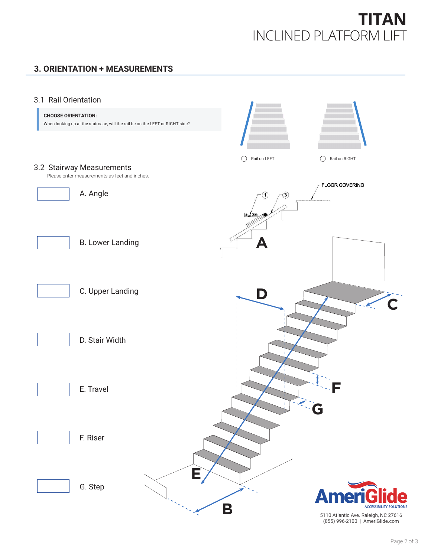# **TITAN** INCLINED PLATFORM LIFT

# **3. ORIENTATION + MEASUREMENTS**